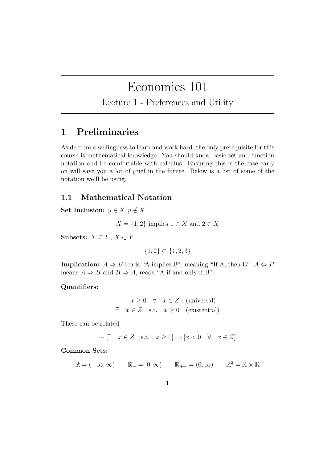# Economics 101

Lecture 1 - Preferences and Utility

# 1 Preliminaries

Aside from a willingness to learn and work hard, the only prerequisite for this course is mathematical knowledge. You should know basic set and function notation and be comfortable with calculus. Ensuring this is the case early on will save you a lot of grief in the future. Below is a list of some of the notation we'll be using.

## 1.1 Mathematical Notation

Set Inclusion:  $y \in X, y \notin X$ 

 $X = \{1, 2\}$  implies  $1 \in X$  and  $2 \in X$ 

Subsets:  $X \subseteq Y, X \subset Y$ 

$$
\{1,2\} \subset \{1,2,3\}
$$

**Implication:**  $A \Rightarrow B$  reads "A implies B", meaning "If A, then B".  $A \Leftrightarrow B$ means  $A \Rightarrow B$  and  $B \Rightarrow A$ , reads "A if and only if B".

#### Quantifiers:

$$
x \ge 0 \quad \forall \quad x \in Z \quad \text{(universal)}
$$
  
 $\exists \quad x \in Z \quad \text{s.t.} \quad x \ge 0 \quad \text{(existential)}$ 

These can be related

$$
\sim \begin{bmatrix} \exists & x \in Z & \text{s.t.} & x \ge 0 \end{bmatrix} \Leftrightarrow \begin{bmatrix} x < 0 & \forall & x \in Z \end{bmatrix}
$$

#### Common Sets:

$$
\mathbb{R} = (-\infty, \infty) \qquad \mathbb{R}_+ = [0, \infty) \qquad \mathbb{R}_{++} = (0, \infty) \qquad \mathbb{R}^2 = \mathbb{R} \times \mathbb{R}
$$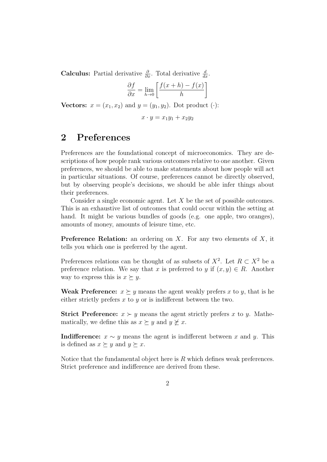**Calculus:** Partial derivative  $\frac{\partial}{\partial x}$ . Total derivative  $\frac{d}{dx}$ .

$$
\frac{\partial f}{\partial x} = \lim_{h \to 0} \left[ \frac{f(x+h) - f(x)}{h} \right]
$$

Vectors:  $x = (x_1, x_2)$  and  $y = (y_1, y_2)$ . Dot product (·):

$$
x\cdot y=x_1y_1+x_2y_2
$$

# 2 Preferences

Preferences are the foundational concept of microeconomics. They are descriptions of how people rank various outcomes relative to one another. Given preferences, we should be able to make statements about how people will act in particular situations. Of course, preferences cannot be directly observed, but by observing people's decisions, we should be able infer things about their preferences.

Consider a single economic agent. Let  $X$  be the set of possible outcomes. This is an exhaustive list of outcomes that could occur within the setting at hand. It might be various bundles of goods (e.g. one apple, two oranges), amounts of money, amounts of leisure time, etc.

**Preference Relation:** an ordering on  $X$ . For any two elements of  $X$ , it tells you which one is preferred by the agent.

Preferences relations can be thought of as subsets of  $X^2$ . Let  $R \subset X^2$  be a preference relation. We say that x is preferred to y if  $(x, y) \in R$ . Another way to express this is  $x \succeq y$ .

Weak Preference:  $x \succeq y$  means the agent weakly prefers x to y, that is he either strictly prefers  $x$  to  $y$  or is indifferent between the two.

**Strict Preference:**  $x \succ y$  means the agent strictly prefers x to y. Mathematically, we define this as  $x \succeq y$  and  $y \not\succeq x$ .

Indifference:  $x \sim y$  means the agent is indifferent between x and y. This is defined as  $x \succeq y$  and  $y \succeq x$ .

Notice that the fundamental object here is  $R$  which defines weak preferences. Strict preference and indifference are derived from these.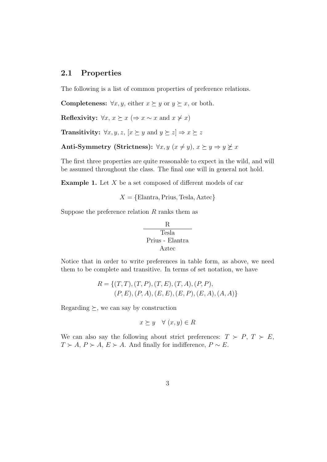#### 2.1 Properties

The following is a list of common properties of preference relations.

**Completeness:**  $\forall x, y$ , either  $x \succeq y$  or  $y \succeq x$ , or both.

Reflexivity:  $\forall x, x \succeq x (\Rightarrow x \sim x \text{ and } x \not\succ x)$ 

**Transitivity:**  $\forall x, y, z, [x \succeq y \text{ and } y \succeq z] \Rightarrow x \succeq z$ 

Anti-Symmetry (Strictness):  $\forall x, y \ (x \neq y), \ x \succeq y \Rightarrow y \not\succeq x$ 

The first three properties are quite reasonable to expect in the wild, and will be assumed throughout the class. The final one will in general not hold.

**Example 1.** Let  $X$  be a set composed of different models of car

 $X = \{Elantra, Prius, Tesla, Aztec\}$ 

Suppose the preference relation  $R$  ranks them as

$$
\begin{array}{c}\n\text{R} \\
\hline\n\text{Tesla} \\
\text{Prius - Elantra} \\
\text{Aztec}\n\end{array}
$$

Notice that in order to write preferences in table form, as above, we need them to be complete and transitive. In terms of set notation, we have

$$
R = \{ (T, T), (T, P), (T, E), (T, A), (P, P), (P, E), (P, A), (E, E), (E, P), (E, A), (A, A) \}
$$

Regarding  $\succeq$ , we can say by construction

$$
x \succeq y \quad \forall (x, y) \in R
$$

We can also say the following about strict preferences:  $T > P$ ,  $T > E$ ,  $T \succ A, P \succ A, E \succ A$ . And finally for indifference,  $P \sim E$ .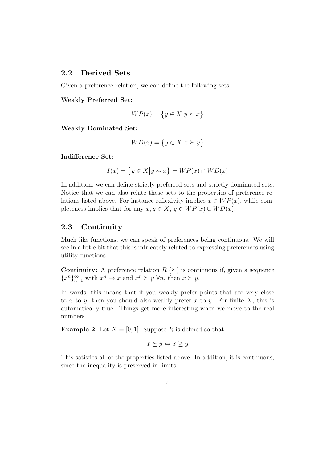## 2.2 Derived Sets

Given a preference relation, we can define the following sets

Weakly Preferred Set:

$$
WP(x) = \{ y \in X \big| y \succeq x \}
$$

Weakly Dominated Set:

$$
WD(x) = \{ y \in X \big| x \succeq y \}
$$

Indifference Set:

$$
I(x) = \{ y \in X | y \sim x \} = WP(x) \cap WD(x)
$$

In addition, we can define strictly preferred sets and strictly dominated sets. Notice that we can also relate these sets to the properties of preference relations listed above. For instance reflexivity implies  $x \in WP(x)$ , while completeness implies that for any  $x, y \in X$ ,  $y \in WP(x) \cup WD(x)$ .

## 2.3 Continuity

Much like functions, we can speak of preferences being continuous. We will see in a little bit that this is intricately related to expressing preferences using utility functions.

**Continuity:** A preference relation  $R \geq$  is continuous if, given a sequence  ${x^n}_{n=1}$  with  $x^n \to x$  and  $x^n \succeq y \forall n$ , then  $x \succeq y$ .

In words, this means that if you weakly prefer points that are very close to x to y, then you should also weakly prefer x to y. For finite X, this is automatically true. Things get more interesting when we move to the real numbers.

**Example 2.** Let  $X = [0, 1]$ . Suppose R is defined so that

 $x \succ y \Leftrightarrow x \gt y$ 

This satisfies all of the properties listed above. In addition, it is continuous, since the inequality is preserved in limits.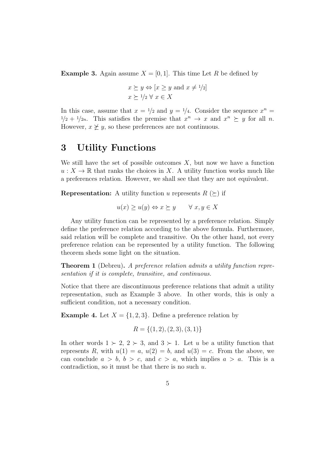**Example 3.** Again assume  $X = [0, 1]$ . This time Let R be defined by

$$
x \succeq y \Leftrightarrow [x \ge y \text{ and } x \ne 1/2]
$$
  
 $x \succeq 1/2 \forall x \in X$ 

In this case, assume that  $x = 1/2$  and  $y = 1/4$ . Consider the sequence  $x^n =$  $1/2 + 1/2n$ . This satisfies the premise that  $x^n \to x$  and  $x^n \succeq y$  for all n. However,  $x \not\geq y$ , so these preferences are not continuous.

# 3 Utility Functions

We still have the set of possible outcomes  $X$ , but now we have a function  $u: X \to \mathbb{R}$  that ranks the choices in X. A utility function works much like a preferences relation. However, we shall see that they are not equivalent.

**Representation:** A utility function u represents  $R \geq$  if

$$
u(x) \ge u(y) \Leftrightarrow x \succeq y \qquad \forall \ x, y \in X
$$

Any utility function can be represented by a preference relation. Simply define the preference relation according to the above formula. Furthermore, said relation will be complete and transitive. On the other hand, not every preference relation can be represented by a utility function. The following theorem sheds some light on the situation.

**Theorem 1** (Debreu). A preference relation admits a utility function representation if it is complete, transitive, and continuous.

Notice that there are discontinuous preference relations that admit a utility representation, such as Example 3 above. In other words, this is only a sufficient condition, not a necessary condition.

**Example 4.** Let  $X = \{1, 2, 3\}$ . Define a preference relation by

$$
R = \{(1, 2), (2, 3), (3, 1)\}
$$

In other words  $1 \succ 2$ ,  $2 \succ 3$ , and  $3 \succ 1$ . Let u be a utility function that represents R, with  $u(1) = a$ ,  $u(2) = b$ , and  $u(3) = c$ . From the above, we can conclude  $a > b$ ,  $b > c$ , and  $c > a$ , which implies  $a > a$ . This is a contradiction, so it must be that there is no such  $u$ .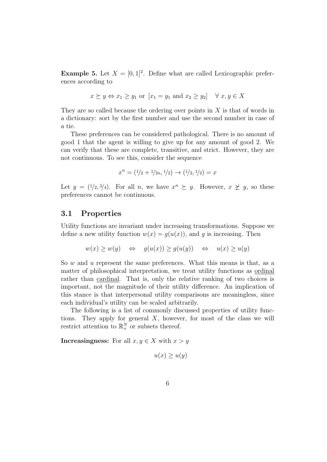**Example 5.** Let  $X = \begin{bmatrix} 0, 1 \end{bmatrix}^2$ . Define what are called Lexicographic preferences according to

$$
x \succeq y \Leftrightarrow x_1 \ge y_1
$$
 or  $[x_1 = y_1 \text{ and } x_2 \ge y_2] \quad \forall x, y \in X$ 

They are so called because the ordering over points in  $X$  is that of words in a dictionary: sort by the first number and use the second number in case of a tie.

These preferences can be considered pathological. There is no amount of good 1 that the agent is willing to give up for any amount of good 2. We can verify that these are complete, transitive, and strict. However, they are not continuous. To see this, consider the sequence

$$
x^n = (1/2 + 1/2n, 1/2) \rightarrow (1/2, 1/2) = x
$$

Let  $y = (1/2, 3/4)$ . For all n, we have  $x^n \succeq y$ . However,  $x \not\succeq y$ , so these preferences cannot be continuous.

#### 3.1 Properties

Utility functions are invariant under increasing transformations. Suppose we define a new utility function  $w(x) = g(u(x))$ , and g is increasing. Then

$$
w(x) \ge w(y) \iff g(u(x)) \ge g(u(y)) \iff u(x) \ge u(y)
$$

So  $w$  and  $u$  represent the same preferences. What this means is that, as a matter of philosophical interpretation, we treat utility functions as ordinal rather than cardinal. That is, only the relative ranking of two choices is important, not the magnitude of their utility difference. An implication of this stance is that interpersonal utility comparisons are meaningless, since each individual's utility can be scaled arbitrarily.

The following is a list of commonly discussed properties of utility functions. They apply for general  $X$ , however, for most of the class we will restrict attention to  $\mathbb{R}^N_+$  or subsets thereof.

**Increasingness:** For all  $x, y \in X$  with  $x > y$ 

$$
u(x) \ge u(y)
$$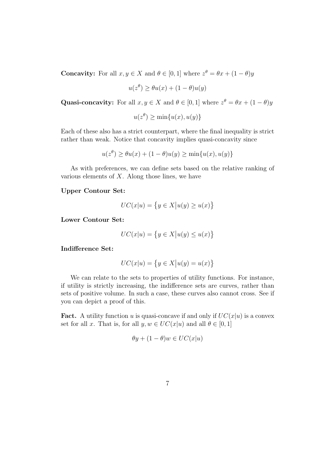**Concavity:** For all  $x, y \in X$  and  $\theta \in [0, 1]$  where  $z^{\theta} = \theta x + (1 - \theta)y$ 

$$
u(z^{\theta}) \ge \theta u(x) + (1 - \theta)u(y)
$$

Quasi-concavity: For all  $x, y \in X$  and  $\theta \in [0, 1]$  where  $z^{\theta} = \theta x + (1 - \theta)y$ 

$$
u(z^{\theta}) \ge \min\{u(x), u(y)\}\
$$

Each of these also has a strict counterpart, where the final inequality is strict rather than weak. Notice that concavity implies quasi-concavity since

$$
u(z^{\theta}) \ge \theta u(x) + (1 - \theta)u(y) \ge \min\{u(x), u(y)\}\
$$

As with preferences, we can define sets based on the relative ranking of various elements of  $X$ . Along those lines, we have

Upper Contour Set:

$$
UC(x|u) = \{ y \in X | u(y) \ge u(x) \}
$$

Lower Contour Set:

$$
UC(x|u) = \{ y \in X | u(y) \le u(x) \}
$$

Indifference Set:

$$
UC(x|u) = \{ y \in X | u(y) = u(x) \}
$$

We can relate to the sets to properties of utility functions. For instance, if utility is strictly increasing, the indifference sets are curves, rather than sets of positive volume. In such a case, these curves also cannot cross. See if you can depict a proof of this.

**Fact.** A utility function u is quasi-concave if and only if  $UC(x|u)$  is a convex set for all x. That is, for all  $y, w \in UC(x|u)$  and all  $\theta \in [0, 1]$ 

$$
\theta y + (1 - \theta)w \in UC(x|u)
$$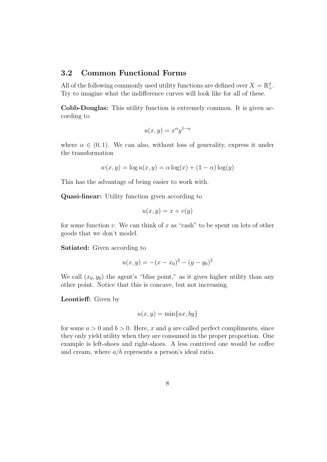### 3.2 Common Functional Forms

All of the following commonly used utility functions are defined over  $X = \mathbb{R}^2_+$ . Try to imagine what the indifference curves will look like for all of these.

Cobb-Douglas: This utility function is extremely common. It is given according to

$$
u(x,y) = x^{\alpha}y^{1-\alpha}
$$

where  $\alpha \in (0,1)$ . We can also, without loss of generality, express it under the transformation

$$
w(x, y) = \log u(x, y) = \alpha \log(x) + (1 - \alpha) \log(y)
$$

This has the advantage of being easier to work with.

Quasi-linear: Utility function given according to

$$
u(x, y) = x + v(y)
$$

for some function v. We can think of x as "cash" to be spent on lots of other goods that we don't model.

Satiated: Given according to

$$
u(x, y) = -(x - x_0)^2 - (y - y_0)^2
$$

We call  $(x_0, y_0)$  the agent's "bliss point," as it gives higher utility than any other point. Notice that this is concave, but not increasing.

Leontieff: Given by

$$
u(x,y) = \min\{ax, by\}
$$

for some  $a > 0$  and  $b > 0$ . Here, x and y are called perfect compliments, since they only yield utility when they are consumed in the proper proportion. One example is left-shoes and right-shoes. A less contrived one would be coffee and cream, where  $a/b$  represents a person's ideal ratio.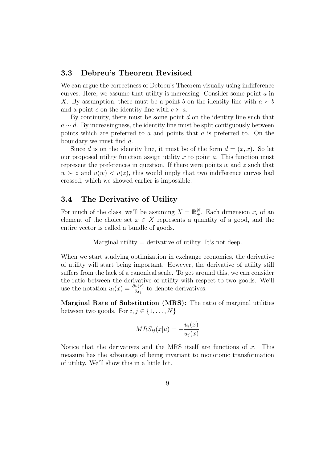### 3.3 Debreu's Theorem Revisited

We can argue the correctness of Debreu's Theorem visually using indifference curves. Here, we assume that utility is increasing. Consider some point a in X. By assumption, there must be a point b on the identity line with  $a \succ b$ and a point c on the identity line with  $c \succ a$ .

By continuity, there must be some point  $d$  on the identity line such that  $a \sim d$ . By increasingness, the identity line must be split contiguously between points which are preferred to  $a$  and points that  $a$  is preferred to. On the boundary we must find d.

Since d is on the identity line, it must be of the form  $d = (x, x)$ . So let our proposed utility function assign utility x to point a. This function must represent the preferences in question. If there were points  $w$  and  $z$  such that  $w \succ z$  and  $u(w) < u(z)$ , this would imply that two indifference curves had crossed, which we showed earlier is impossible.

### 3.4 The Derivative of Utility

For much of the class, we'll be assuming  $X = \mathbb{R}^N_+$ . Each dimension  $x_i$  of an element of the choice set  $x \in X$  represents a quantity of a good, and the entire vector is called a bundle of goods.

Marginal utility = derivative of utility. It's not deep.

When we start studying optimization in exchange economies, the derivative of utility will start being important. However, the derivative of utility still suffers from the lack of a canonical scale. To get around this, we can consider the ratio between the derivative of utility with respect to two goods. We'll use the notation  $u_i(x) = \frac{\partial u(x)}{\partial x_i}$  to denote derivatives.

Marginal Rate of Substitution (MRS): The ratio of marginal utilities between two goods. For  $i, j \in \{1, \ldots, N\}$ 

$$
MRS_{ij}(x|u) = -\frac{u_i(x)}{u_j(x)}
$$

Notice that the derivatives and the MRS itself are functions of  $x$ . This measure has the advantage of being invariant to monotonic transformation of utility. We'll show this in a little bit.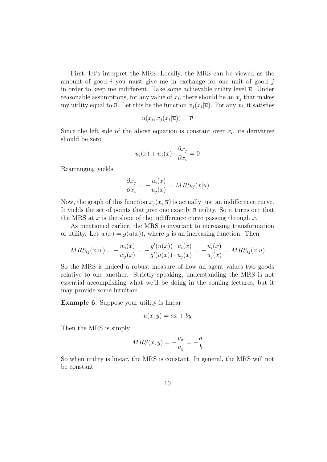First, let's interpret the MRS. Locally, the MRS can be viewed as the amount of good  $i$  you must give me in exchange for one unit of good  $j$ in order to keep me indifferent. Take some achievable utility level  $\overline{u}$ . Under reasonable assumptions, for any value of  $x_i$ , there should be an  $x_j$  that makes my utility equal to  $\overline{u}$ . Let this be the function  $x_j(x_i|\overline{u})$ . For any  $x_i$ , it satisfies

$$
u(x_i, x_j(x_i|\overline{u})) = \overline{u}
$$

Since the left side of the above equation is constant over  $x_i$ , its derivative should be zero

$$
u_i(x) + u_j(x) \cdot \frac{\partial x_j}{\partial x_i} = 0
$$

Rearranging yields

$$
\frac{\partial x_j}{\partial x_i} = -\frac{u_i(x)}{u_j(x)} = MRS_{ij}(x|u)
$$

Now, the graph of this function  $x_j(x_i|\overline{u})$  is actually just an indifference curve. It yields the set of points that give one exactly  $\overline{u}$  utility. So it turns out that the MRS at x is the slope of the indifference curve passing through  $x$ .

As mentioned earlier, the MRS is invariant to increasing transformation of utility. Let  $w(x) = g(u(x))$ , where g is an increasing function. Then

$$
MRS_{ij}(x|w) = -\frac{w_i(x)}{w_j(x)} = -\frac{g'(u(x)) \cdot u_i(x)}{g'(u(x)) \cdot u_j(x)} = -\frac{u_i(x)}{u_j(x)} = MRS_{ij}(x|u)
$$

So the MRS is indeed a robust measure of how an agent values two goods relative to one another. Strictly speaking, understanding the MRS is not essential accomplishing what we'll be doing in the coming lectures, but it may provide some intuition.

Example 6. Suppose your utility is linear

$$
u(x, y) = ax + by
$$

Then the MRS is simply

$$
MRS(x, y) = -\frac{u_x}{u_y} = -\frac{a}{b}
$$

So when utility is linear, the MRS is constant. In general, the MRS will not be constant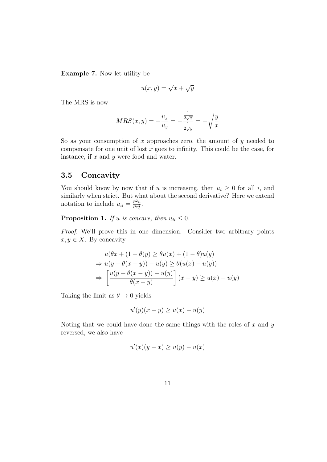Example 7. Now let utility be

$$
u(x,y) = \sqrt{x} + \sqrt{y}
$$

The MRS is now

$$
MRS(x, y) = -\frac{u_x}{u_y} = -\frac{\frac{1}{2\sqrt{x}}}{\frac{1}{2\sqrt{y}}} = -\sqrt{\frac{y}{x}}
$$

So as your consumption of x approaches zero, the amount of y needed to compensate for one unit of lost  $x$  goes to infinity. This could be the case, for instance, if  $x$  and  $y$  were food and water.

#### 3.5 Concavity

You should know by now that if u is increasing, then  $u_i \geq 0$  for all i, and similarly when strict. But what about the second derivative? Here we extend notation to include  $u_{ii} = \frac{\partial^2 u}{\partial x^2}$  $\frac{\partial^2 u}{\partial x_i^2}$ .

**Proposition 1.** If u is concave, then  $u_{ii} \leq 0$ .

Proof. We'll prove this in one dimension. Consider two arbitrary points  $x, y \in X$ . By concavity

$$
u(\theta x + (1 - \theta)y) \ge \theta u(x) + (1 - \theta)u(y)
$$
  
\n
$$
\Rightarrow u(y + \theta(x - y)) - u(y) \ge \theta(u(x) - u(y))
$$
  
\n
$$
\Rightarrow \left[ \frac{u(y + \theta(x - y)) - u(y)}{\theta(x - y)} \right] (x - y) \ge u(x) - u(y)
$$

Taking the limit as  $\theta \to 0$  yields

$$
u'(y)(x - y) \ge u(x) - u(y)
$$

Noting that we could have done the same things with the roles of  $x$  and  $y$ reversed, we also have

$$
u'(x)(y-x) \ge u(y) - u(x)
$$